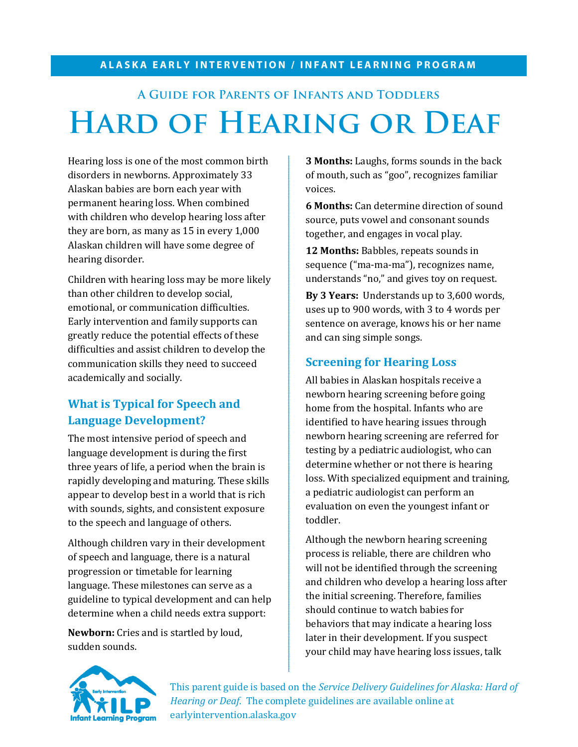#### **ALASKA EARLY INTERVENTION / INFANT LEARNING PROGRAM**

# **A Guide for Parents of Infants and Toddlers Hard of Hearing or Deaf**

Hearing loss is one of the most common birth disorders in newborns. Approximately 33 Alaskan babies are born each year with permanent hearing loss. When combined with children who develop hearing loss after they are born, as many as 15 in every 1,000 Alaskan children will have some degree of hearing disorder.

Children with hearing loss may be more likely than other children to develop social, emotional, or communication difficulties. Early intervention and family supports can greatly reduce the potential effects of these difficulties and assist children to develop the communication skills they need to succeed academically and socially.

## **What is Typical for Speech and Language Development?**

The most intensive period of speech and language development is during the first three years of life, a period when the brain is rapidly developing and maturing. These skills appear to develop best in a world that is rich with sounds, sights, and consistent exposure to the speech and language of others.

Although children vary in their development of speech and language, there is a natural progression or timetable for learning language. These milestones can serve as a guideline to typical development and can help determine when a child needs extra support:

**Newborn:** Cries and is startled by loud, sudden sounds.

**3 Months:** Laughs, forms sounds in the back of mouth, such as "goo", recognizes familiar voices.

**6 Months:** Can determine direction of sound source, puts vowel and consonant sounds together, and engages in vocal play.

**12 Months:** Babbles, repeats sounds in sequence ("ma-ma-ma"), recognizes name, understands "no," and gives toy on request.

**By 3 Years:** Understands up to 3,600 words, uses up to 900 words, with 3 to 4 words per sentence on average, knows his or her name and can sing simple songs.

#### **Screening for Hearing Loss**

All babies in Alaskan hospitals receive a newborn hearing screening before going home from the hospital. Infants who are identified to have hearing issues through newborn hearing screening are referred for testing by a pediatric audiologist, who can determine whether or not there is hearing loss. With specialized equipment and training, a pediatric audiologist can perform an evaluation on even the youngest infant or toddler.

Although the newborn hearing screening process is reliable, there are children who will not be identified through the screening and children who develop a hearing loss after the initial screening. Therefore, families should continue to watch babies for behaviors that may indicate a hearing loss later in their development. If you suspect your child may have hearing loss issues, talk



This parent guide is based on the *Service Delivery Guidelines for Alaska: Hard of Hearing or Deaf*. The complete guidelines are available online at earlyintervention.alaska.gov